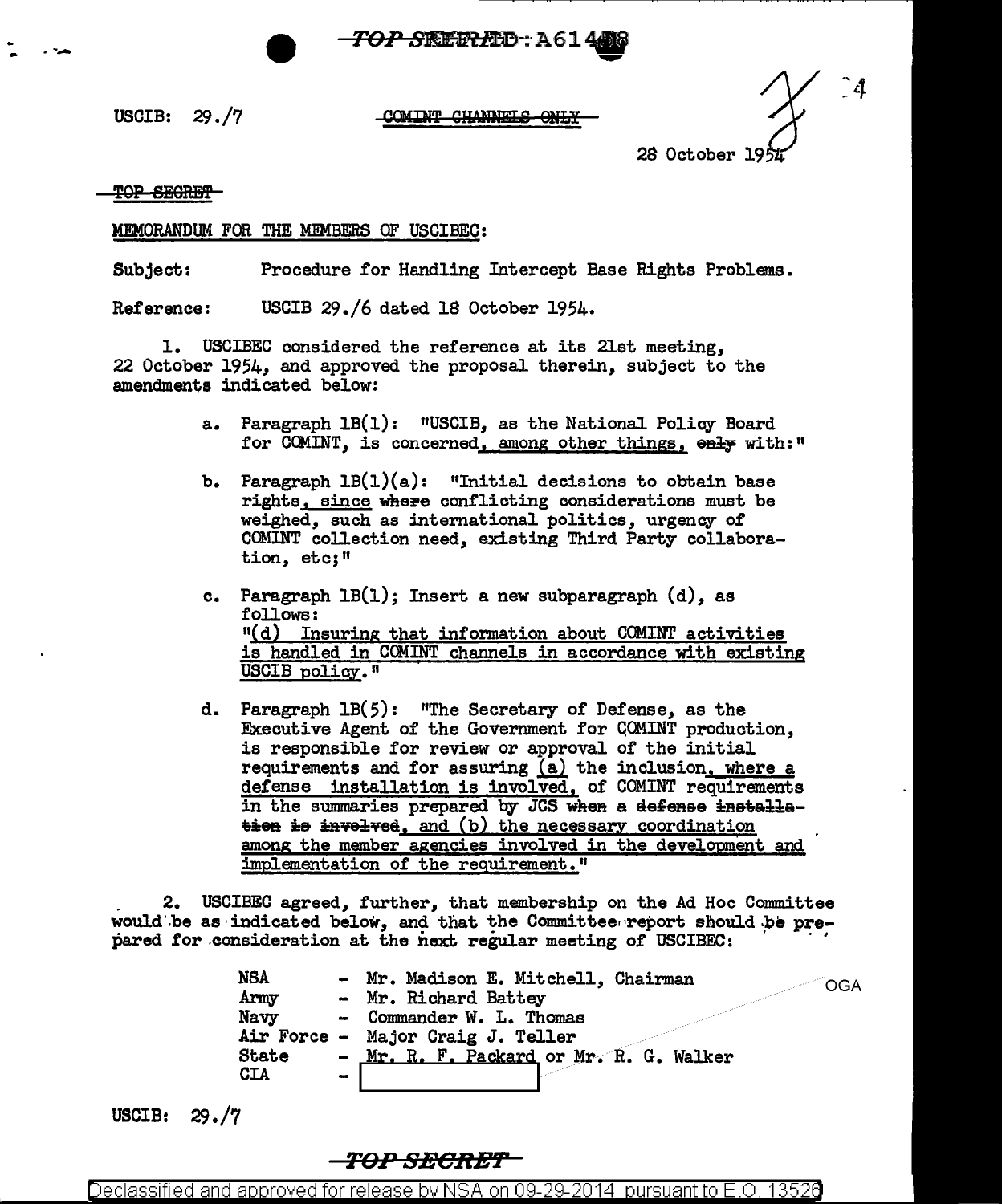<del>'*OP S*RERL</del>D-: A614 **-**

USCIB: 29./7

## COMINT CHANNELS ONLY

^4 28 October 19~

TOP SEGRET

## MEMORANDUM FOR THE MEMBERS OF USCIBEC:

Subject: Procedure for Handling Intercept Base Rights Problems.

Reference: USCIB 29./6 dated 18 October 1954.

1. USCIBEC considered the reference at its 21st meeting, 22 October 1954, and approved the proposal therein, subject to the amendments indicated below:

- a. Paragraph 1B(1): "USCIB, as the National Policy Board for COMINT, is concerned, among other things, enly with:"
- b. Paragraph  $LB(1)(a)$ : "Initial decisions to obtain base rights, since where conflicting considerations must be weighed, such as international politics, urgency of COMINT collection need, existing Third Party collaboration, etc;"
- c. Paragraph  $LB(1)$ ; Insert a new subparagraph  $(d)$ , as follows: 11(d) Insuring that information about COMINT activities is handled in COMINT channels in accordance with existing USCIB policy."
- d. Paragraph 1B(5): "The Secretary of Defense, as the Executive Agent of the Government for COMINT production, is responsible for review or approval of the initial requirements and for assuring  $(a)$  the inclusion, where a defense installation is involved, of COMINT requirements in the summaries prepared by JCS when a defense installa- $\frac{1}{2}$  is invelved, and (b) the necessary coordination among the member agencies involved in the development and implementation of the requirement."

. 2. USCIBEC agreed, further, that membership on the Ad Hoc Committee would be as indicated below, and that the Committee report should be pre- pared for consideration at the next regular meeting of USCIBEC:

> NSA - Mr. Madison E. Mitchell, Chairman<br>Army - Mr. Richard Battey - Mr. Madison E. Micchell, Unairman COGA<br>- Mr. Richard Battey Navy - Commander W. L. Thomas Air Force - Major Craig J. Teller State -  $Mr. R. F. Packard or Mr. R. G. Walker  $CIA$$

USCIB: 29./7

TOP SECRET

Declassified and approved for release by NSA on 09-29-2014 pursuant to E.O. 13526